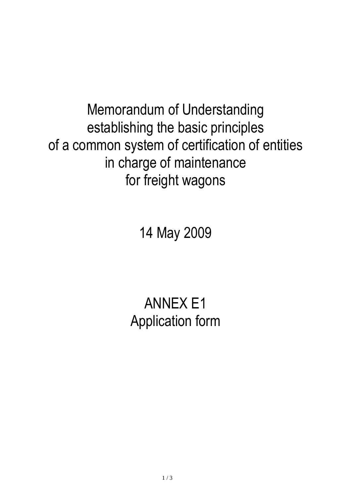Memorandum of Understanding establishing the basic principles of a common system of certification of entities in charge of maintenance for freight wagons

14 May 2009

## ANNEX E1 Application form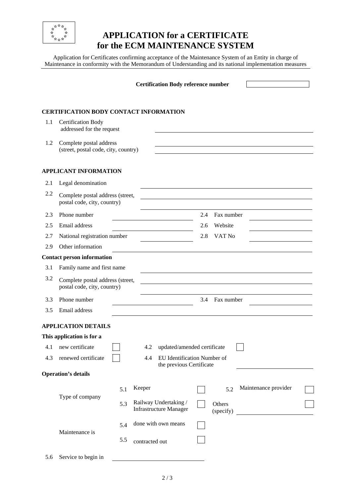

## **APPLICATION for a CERTIFICATE for the ECM MAINTENANCE SYSTEM**

Application for Certificates confirming acceptance of the Maintenance System of an Entity in charge of Maintenance in conformity with the Memorandum of Understanding and its national implementation measures

|     |                                                                 | <b>Certification Body reference number</b>                     |                                                        |     |                     |                      |  |  |
|-----|-----------------------------------------------------------------|----------------------------------------------------------------|--------------------------------------------------------|-----|---------------------|----------------------|--|--|
|     |                                                                 |                                                                | <b>CERTIFICATION BODY CONTACT INFORMATION</b>          |     |                     |                      |  |  |
| 1.1 | <b>Certification Body</b><br>addressed for the request          |                                                                |                                                        |     |                     |                      |  |  |
| 1.2 | Complete postal address<br>(street, postal code, city, country) |                                                                |                                                        |     |                     |                      |  |  |
|     | <b>APPLICANT INFORMATION</b>                                    |                                                                |                                                        |     |                     |                      |  |  |
| 2.1 | Legal denomination                                              |                                                                |                                                        |     |                     |                      |  |  |
| 2.2 | Complete postal address (street,<br>postal code, city, country) |                                                                |                                                        |     |                     |                      |  |  |
| 2.3 | Phone number                                                    |                                                                |                                                        | 2.4 | Fax number          |                      |  |  |
| 2.5 | Email address                                                   |                                                                |                                                        | 2.6 | Website             |                      |  |  |
| 2.7 | National registration number                                    |                                                                |                                                        | 2.8 | VAT No              |                      |  |  |
| 2.9 | Other information                                               |                                                                |                                                        |     |                     |                      |  |  |
|     | <b>Contact person information</b>                               |                                                                |                                                        |     |                     |                      |  |  |
| 3.1 | Family name and first name                                      |                                                                |                                                        |     |                     |                      |  |  |
| 3.2 | Complete postal address (street,<br>postal code, city, country) |                                                                |                                                        |     |                     |                      |  |  |
| 3.3 | Phone number                                                    |                                                                |                                                        | 3.4 | Fax number          |                      |  |  |
| 3.5 | Email address                                                   |                                                                |                                                        |     |                     |                      |  |  |
|     | <b>APPLICATION DETAILS</b>                                      |                                                                |                                                        |     |                     |                      |  |  |
|     | This application is for a                                       |                                                                |                                                        |     |                     |                      |  |  |
| 4.1 | new certificate                                                 |                                                                | updated/amended certificate<br>4.2                     |     |                     |                      |  |  |
| 4.3 | renewed certificate                                             | EU Identification Number of<br>4.4<br>the previous Certificate |                                                        |     |                     |                      |  |  |
|     | <b>Operation's details</b>                                      |                                                                |                                                        |     |                     |                      |  |  |
|     |                                                                 | 5.1                                                            | Keeper                                                 |     | 5.2                 | Maintenance provider |  |  |
|     | Type of company                                                 | 5.3                                                            | Railway Undertaking /<br><b>Infrastructure Manager</b> |     | Others<br>(specify) |                      |  |  |
|     | Maintenance is                                                  | 5.4                                                            | done with own means                                    |     |                     |                      |  |  |
|     |                                                                 | 5.5                                                            | contracted out                                         |     |                     |                      |  |  |
| 5.6 | Service to begin in                                             |                                                                |                                                        |     |                     |                      |  |  |